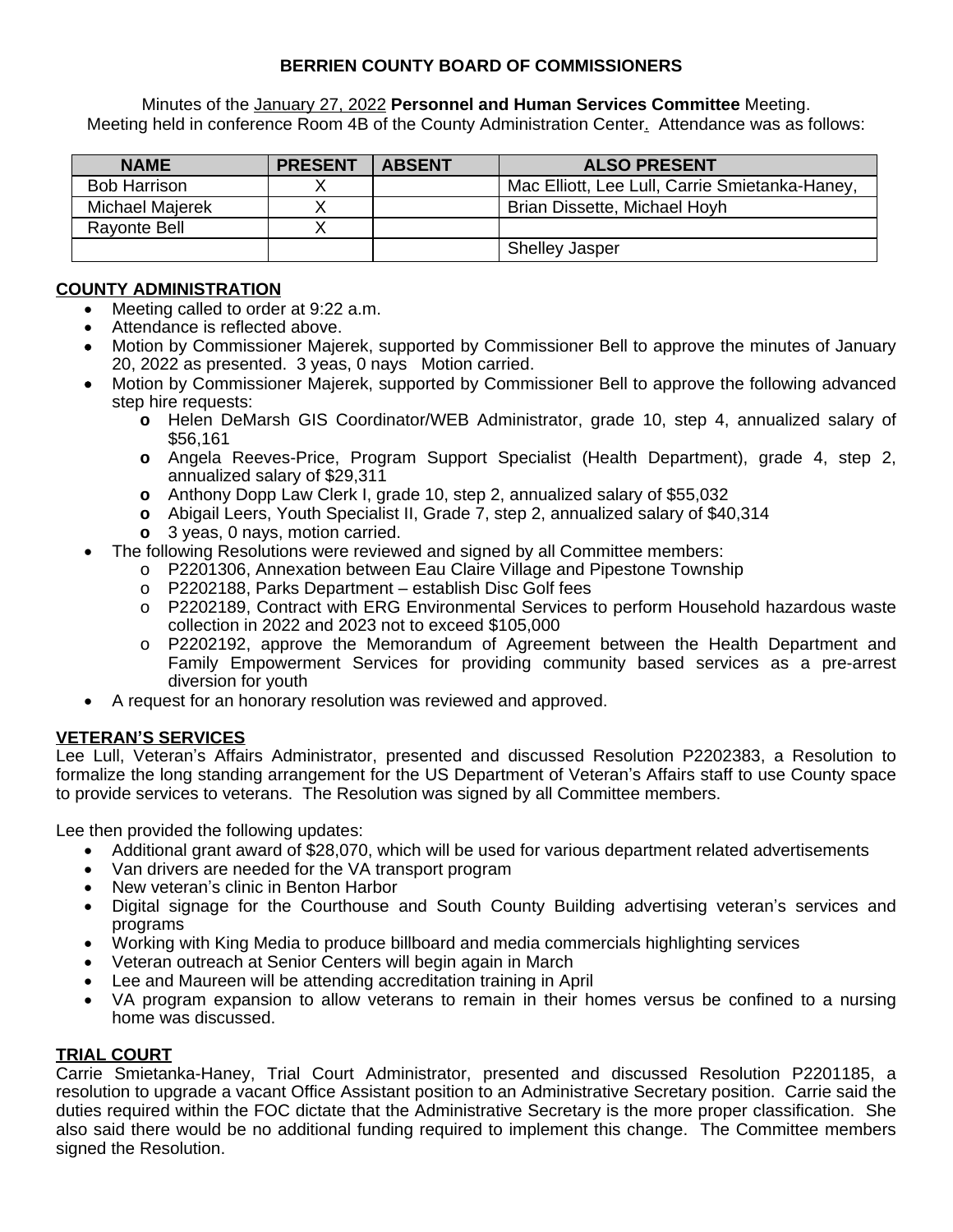# **BERRIEN COUNTY BOARD OF COMMISSIONERS**

Minutes of the January 27, 2022 **Personnel and Human Services Committee** Meeting. Meeting held in conference Room 4B of the County Administration Center. Attendance was as follows:

| <b>NAME</b>         | <b>PRESENT</b> | <b>ABSENT</b> | <b>ALSO PRESENT</b>                            |
|---------------------|----------------|---------------|------------------------------------------------|
| <b>Bob Harrison</b> |                |               | Mac Elliott, Lee Lull, Carrie Smietanka-Haney, |
| Michael Majerek     |                |               | Brian Dissette, Michael Hoyh                   |
| <b>Rayonte Bell</b> |                |               |                                                |
|                     |                |               | <b>Shelley Jasper</b>                          |

## **COUNTY ADMINISTRATION**

- Meeting called to order at 9:22 a.m.
- Attendance is reflected above.
- Motion by Commissioner Majerek, supported by Commissioner Bell to approve the minutes of January 20, 2022 as presented. 3 yeas, 0 nays Motion carried.
- Motion by Commissioner Majerek, supported by Commissioner Bell to approve the following advanced step hire requests:
	- **o** Helen DeMarsh GIS Coordinator/WEB Administrator, grade 10, step 4, annualized salary of \$56,161
	- **o** Angela Reeves-Price, Program Support Specialist (Health Department), grade 4, step 2, annualized salary of \$29,311
	- **o** Anthony Dopp Law Clerk I, grade 10, step 2, annualized salary of \$55,032
	- **o** Abigail Leers, Youth Specialist II, Grade 7, step 2, annualized salary of \$40,314
	- **o** 3 yeas, 0 nays, motion carried.
- The following Resolutions were reviewed and signed by all Committee members:
	- o P2201306, Annexation between Eau Claire Village and Pipestone Township
	- o P2202188, Parks Department establish Disc Golf fees
	- o P2202189, Contract with ERG Environmental Services to perform Household hazardous waste collection in 2022 and 2023 not to exceed \$105,000
	- o P2202192, approve the Memorandum of Agreement between the Health Department and Family Empowerment Services for providing community based services as a pre-arrest diversion for youth
- A request for an honorary resolution was reviewed and approved.

### **VETERAN'S SERVICES**

Lee Lull, Veteran's Affairs Administrator, presented and discussed Resolution P2202383, a Resolution to formalize the long standing arrangement for the US Department of Veteran's Affairs staff to use County space to provide services to veterans. The Resolution was signed by all Committee members.

Lee then provided the following updates:

- Additional grant award of \$28,070, which will be used for various department related advertisements
- Van drivers are needed for the VA transport program
- New veteran's clinic in Benton Harbor
- Digital signage for the Courthouse and South County Building advertising veteran's services and programs
- Working with King Media to produce billboard and media commercials highlighting services
- Veteran outreach at Senior Centers will begin again in March
- Lee and Maureen will be attending accreditation training in April
- VA program expansion to allow veterans to remain in their homes versus be confined to a nursing home was discussed.

### **TRIAL COURT**

Carrie Smietanka-Haney, Trial Court Administrator, presented and discussed Resolution P2201185, a resolution to upgrade a vacant Office Assistant position to an Administrative Secretary position. Carrie said the duties required within the FOC dictate that the Administrative Secretary is the more proper classification. She also said there would be no additional funding required to implement this change. The Committee members signed the Resolution.